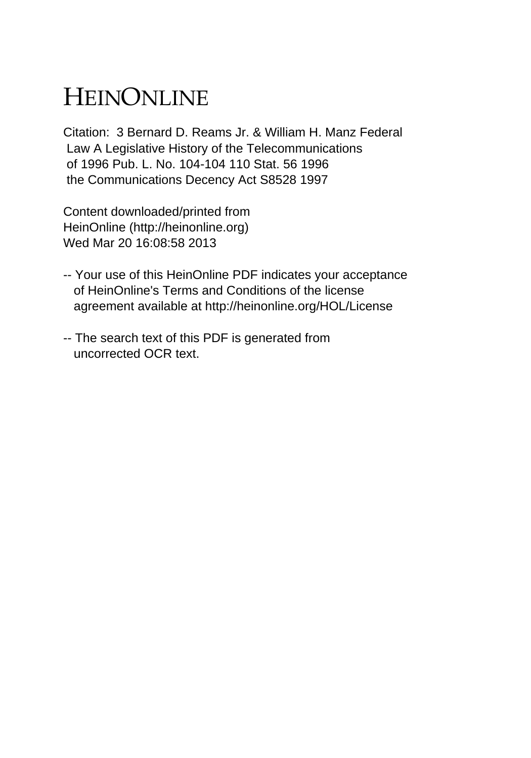## HEINONLINE

Citation: 3 Bernard D. Reams Jr. & William H. Manz Federal Law A Legislative History of the Telecommunications of 1996 Pub. L. No. 104-104 110 Stat. 56 1996 the Communications Decency Act S8528 1997

Content downloaded/printed from HeinOnline (http://heinonline.org) Wed Mar 20 16:08:58 2013

- -- Your use of this HeinOnline PDF indicates your acceptance of HeinOnline's Terms and Conditions of the license agreement available at http://heinonline.org/HOL/License
- -- The search text of this PDF is generated from uncorrected OCR text.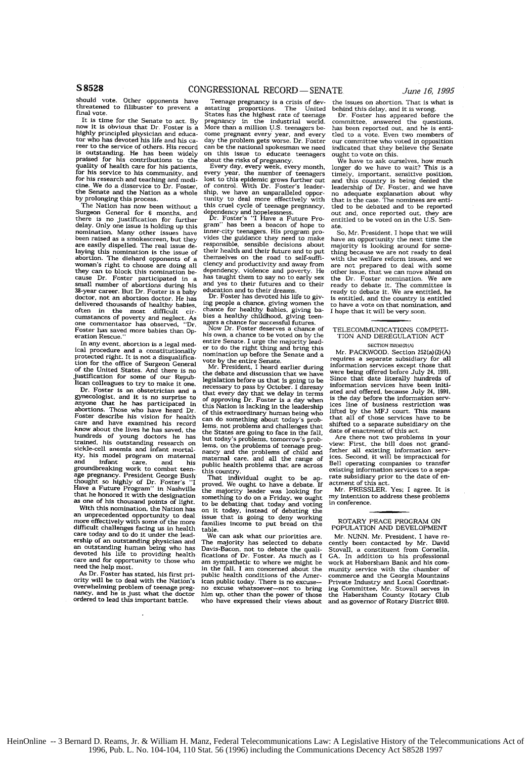should vote. Other opponents have<br>threatened to filibuster to prevent a<br>final vote.<br>It is time for the Senate to act. By

now it is obvious that Dr. Foster is a<br>highly principled physician and educa-<br>tor who has devoted his life and his ca-<br>reer to the service of others. His record product the service of others. His record<br>is outstanding. He has been widely<br>praised for his contributions to the putuality of health care for his patients, for his service to his community, and for his research and teaching and medi-<br>cine. We do a disservice to Dr. Foster, the Senate and the Nation as a whole<br>by prolonging this proce

there is no justification for further<br>there is no justification for further<br>delay. Only on issue is holding up this<br>nomination. Many other issues have<br>been raised as a smokescreen, but they<br>laying this nomination is the is delivered thousands of healthy babies, often in the most difficult circulations cumstances of poverty and neglect. As conserved, "Dr. Foster has saved more babies than Operation Rescue."<br>In any event, about the same of the

In any event, abortion is a legal med- ical procedure **and** a constitutionally protected right. It is not a disqualification for the office of Surgeon General of the United States. And there is no justification for some of our Repub-<br>lican colleagues to try to make it one.<br>The make it one.<br>Dr. Foster is an obstetrician and a

Encologist, and it is no supprise to<br>a gynecologist, and it is no supprise to<br>a gynecologist, and it is no supprise to<br>abortions. Those who have heard Dr.<br>Foster describe his vision for health<br>know about the lives he has s growname was a contract of the state and a series than the state as a face a Fighty of Dr. Foster's "I Have a Future Program" in Nashville that he honored it with the designation as one of his thousand points of light. Wit

an unprecedented opportunity to deal<br>an unprecedented opportunity to deal<br>more effectively with some of the more<br>difficult challenges facing us in health<br>care today and to do it under the lead-<br>ensembly of an outstanding p

need the help most.<br>As Dr. Foster has stated, his first priority will be to deal with the Nation's overwhelming problem of teenage preg-<br>nancy, and he is just what the doctor<br>ordered to lead this important battle. Teenage pregnancy is a crisis of dev-<br>astating proportions. The United<br>States has the highest rate of teenage<br>pregnancy in the industrial world.<br>More than a million U.S. teenagers be-<br>come pregnant every year, and every<br>ca

on this issue to educate teenagers about the risks of pregnancy. Every day, every week, every month, every day, every week, every month, every day, every week, every month, every day, where our of control. With Dr. Foster

guadance they need to make responsible, sensible decisions about their health and their future and to put their health and their future and to put themselves on the road to self-suffi-suffi-suffi-suffi-suffi-suffi-suffi-su ciency and productivity and away from dependency, violence and poverty. He has taught them to say no to early sex and yes to their futures and to their education and to their dreams. Dr. Foster has devoted his life to giv-

ing people a chance, giving women the<br>chance for healthy babies, giving babies<br>algers a chance for successful futures.<br>agers a chance for successful futures.<br>Now Dr. Foster deserves a chance of

agers a chance for successful futures.<br>Now Dr. Foster deserves a chance of<br>his own, a chance to be voted on by the<br>entire Senate. I urge the majority lead-<br>er to do the right thing and bring this<br>nomination up before the S

legislation before us that is going to be necessary to pass by October. **I** daresay of approving Dr. Foster is a day when this Nation is lacking in the leadership of this extraordinary human being who can do something about today's problems, not problems and challenges that the States are going to face in the fall, but today's problems, tomorrow's problems, on the problems of teenage preg-<br>nancy and the problems of child and<br>maternal care, and all the range of<br>public health problems that are across<br>this country.

phase that individual ought to be ap-<br>That individual ought to be ap-<br>proved. We ought to have a debate. If<br> $\frac{1}{2}$  and the looking for the majority leader was looking for<br>something to do on a Friday, we ought<br>to be debating that today and voting<br>on it today, instead of debating the<br>issue that is going to deny working<br>families income to put bread on the<br>ta

We can ask what our priorities are.<br>The majority has selected to debate<br>Davis-Bacon, not to debate the qualifications of Dr. Foster. As much as I<br>am sympathetic to where we might be<br>in the fall, I am concerned about the public health conditions of the American public today. There is no excuse—<br>no excuse whatsoever—mot to bring<br>him up, other than the power of those<br>who have expressed their views about the issues on abortion. That is what is behind this delay, and it is wrong.

Dr. Foster has appeared before the<br>pmmittee, answered the questions. committee, answered the questions, has been reported out. **and** he is entitled to a vote. Even two members of our committee who voted in opposition indicated that they believe the Senate ought to vote on this.

We have to ask ourselves, how much longer do we have to wait? This is a timely, important, sensitive position, and this country is being denied the leadership of Dr. Foster, and we have no adequate explanation about why that is the case. The nominees are entitled to be debated **and** to be reported **out** and, once reported out, they are entitled to be voted on in the U.S. Senate.

So, Mr. President, **I** hope that we will have an opportunity the next time the majority is looking around for something because we are not ready to deal with the welfare reform issues, and we are not prepared to deal with some other issue, that we can move ahead on the Dr. Foster nomination. We are ready to debate it. The committee is ready to debate it. We are entitled, he is entitled, and the country is entitled to have a vote on that nomination, and I hope that it will be very soon,

## TELECOMMUNICATIONS COMPETI-TION AND DEREGULATION **ACT** SECTION 252(a)(2)(A)

Mr. PACKWOOD. Section 252(a)(2)(A) requires a separate subsidiary for information services except those that were being offered before July 24, **1991.** Since that date literally hundreds of information services have been initiated and offered, because July 24, **1991,** is the day before the information services line of business restriction was lifted by the MFJ court. This means that all of those services have to be shifted to a separate subsidiary on the date of enactment of this act.

Are there not two problems in your view: First, the bill does not grandfather all existing information serv-ices. Second, it will be impractical for Bell operating companies to transfer existing information services to a separate subsidiary prior to the date of en-actment of this act. Mr. PRESSLER. Yes; I agree. It is

my intention to address these problems in conference.

## ROTARY PEACE PROGRAM ON POPULATION AND DEVELOPMENT

Mr. NUNN. Mr. President. I have recently been contacted by Mr. David Stovall, a constituent from Cornelia, GA. In addition to his professional work at Habersham Bank and his community service with the chamber of commerce and the Georgia Mountains Private Industry and Local Coordinating Committee, Mr. Stovall serves in the Habersham County Rotary Club and **as** governor of Rotary District **6910.**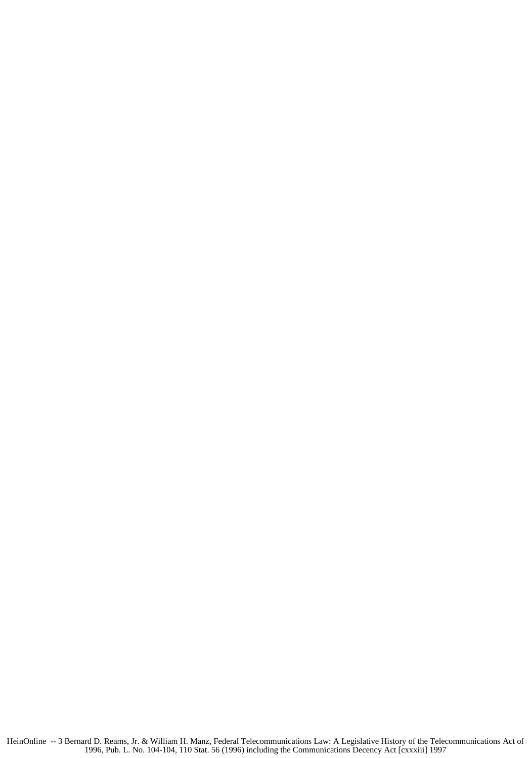HeinOnline -- 3 Bernard D. Reams, Jr. & William H. Manz, Federal Telecommunications Law: A Legislative History of the Telecommunications Act of 1996, Pub. L. No. 104-104, 110 Stat. 56 (1996) including the Communications Decency Act [cxxxiii] 1997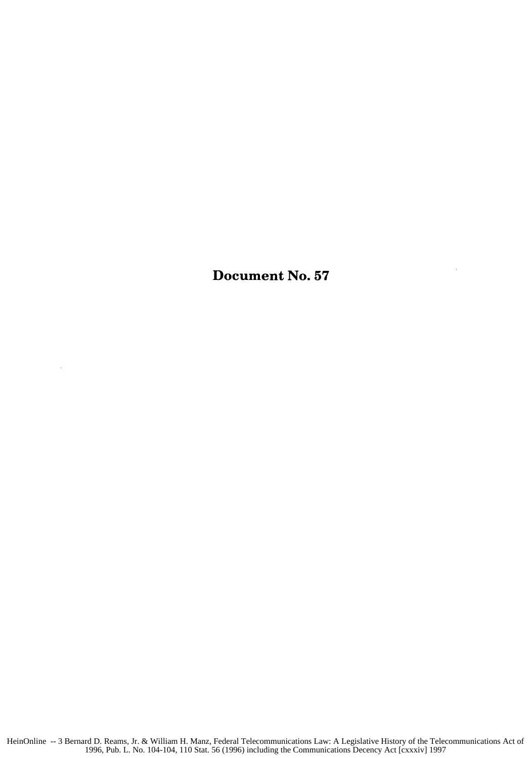Document No. **57**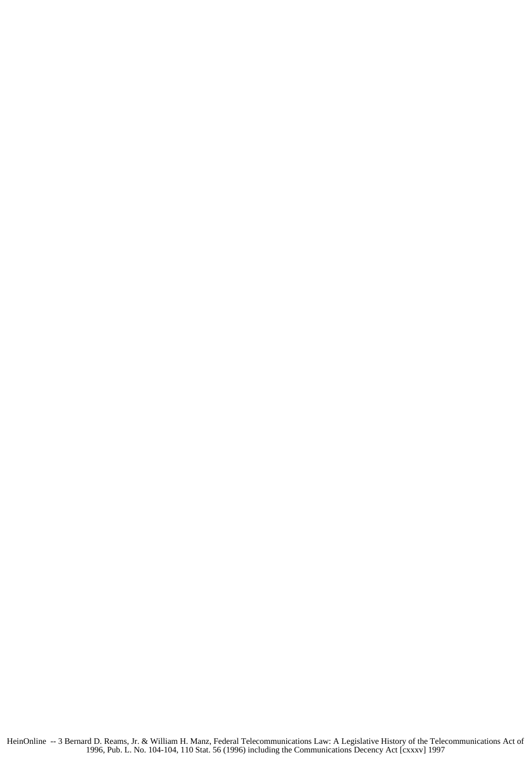HeinOnline -- 3 Bernard D. Reams, Jr. & William H. Manz, Federal Telecommunications Law: A Legislative History of the Telecommunications Act of 1996, Pub. L. No. 104-104, 110 Stat. 56 (1996) including the Communications Decency Act [cxxxv] 1997